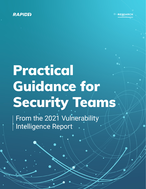

©RAPID7 2021

RESEARCH

# Practical Guidance for Security Teams

From the 2021 Vulnerability Intelligence Report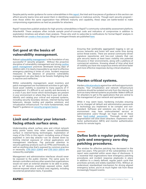Despite patchy vendor guidance for some vulnerabilities in this **[report](https://www.rapid7.com/products/insightvm/vulnerability-report-hub-page/)**, the tried-and-true pieces of guidance in this section can afford security teams time and assist them in identifying suspicious or malicious activity. Though each security program even those within the same organization—has different maturity and capability, these steps are battle-tested to make compromising organizations as hard as possible for attackers.

Rapid7 researchers publish analysis for high-priority vulnerabilities in Rapid7's community vulnerability assessment platform, AttackerKB. These analyses often include sample proof-of-concept code and indicators of compromise in addition to exploitation timelines and attack chain analysis. Those who wish to subscribe to notifications for formal Rapid7 analysis in AttackerKB can **[create a free account](https://attackerkb.com/login)**. Blogs on emergent threats are published **[here](https://www.rapid7.com/blog/tag/emergent-threat-response/)**.

## Get good at the basics of vulnerability management.

Robust **[vulnerability management](https://www.rapid7.com/fundamentals/vulnerability-management-and-scanning/)** is the foundation of any successful IT security program. Without the proactive discipline of vulnerability management and strong **[routine](https://www.rapid7.com/fundamentals/patch-management/) [patch management](https://www.rapid7.com/fundamentals/patch-management/)** practices developed during days of relative calm, it is nearly impossible to up-level to effective emergency patching in times of crisis. Incident response measures in the absence of proactive vulnerability management are also likely to be frenetic firefighting that is reactive and ineffective.

Within vulnerability management, asset inventory and patch management are foundational activities to get right. Good asset visibility is essential to many aspects of IT management. It's difficult to act quickly and decisively in a crisis if you don't know which technologies are present in your environment or where they live in your tech stack. Identify and catalog your critical and exposed systems, including security boundary devices, internet-facing load balancers, devops tooling and pipeline solutions, and virtualization infrastructure. For more fundamentals, read Rapid7's guidance on **[security program basics](https://www.rapid7.com/fundamentals/security-program-basics/)**.

# Limit and monitor your internetfacing attack surface area.

Understanding attack surface area and critical network entry points saves time when severe vulnerabilities surface in internet-facing technologies. Exploitation of many of the CVEs in this report—including some of those exploited in zero-day attacks—can be slowed down by limiting internet exposure of critical applications and management interfaces. Pay particular attention to security gateway products such as VPNs and firewalls, as well as anything else that's exposed by common practice or necessity. **[CVE-2021-22893](https://attackerkb.com/topics/PqQGYGwWdM/cve-2021-22893/rapid7-analysis?referrer=2021VIR)** and **[CVE-2021-20016](https://attackerkb.com/topics/BFh8B71dfn/sonicwall-sma-100-series-10-x-firmware-zero-day-vulnerability/rapid7-analysis?referrer=2021VIR)** are noteworthy examples.

Management and administrative interfaces should never be exposed to the public internet. The same goes for domain controllers and any other assets that organizations would not want an external attacker to be able to probe, such as IoT devices unwittingly exposed online. Audit internet-exposed attack surface area regularly, including via external penetration tests, if possible.

Ensuring that (preferably aggregated) logging is set up across networks and hosts will save some time during active threat events. There are several community-driven signature repositories and low-cost rulesets that can give security teams at least basic visibility into potential intrusions in their environments, along with a plethora of commercial solutions. Knowing ahead of time what kind of visibility you have into suspicious events will drive faster and more effective responses during critical situations.

# Harden critical systems.

Harden **[critical products](https://docs.vmware.com/en/VMware-vSphere/7.0/com.vmware.vsphere.security.doc/GUID-412EF981-D4F1-430B-9D09-A4679C2D04E7.html)** against low-skill and opportunistic attacks. Your virtualization and network infrastructure solutions should be isolated not only from the internet, but from as many internal systems as possible. Make it difficult for attackers to get to the applications that are central to the management of your network and operations.

While it may seem basic, hardening includes ensuring you've changed all default and administrative passwords in technology you implement to be complex and nonstandard. Software and solutions you rely on in your environment may have undocumented service or administrative users—though we hope none of these have **[hard-coded passwords](https://attackerkb.com/topics/FJI292KsKw/cve-2020-29583-zyxel-usg-hard-coded-admin-creds/rapid7-analysis?referrer=2021VIR)**. Thorough review and segmentation will slow down attackers. Implement multifactor authentication (MFA) and monitor authentication events for remote logins.

# Define both a regular patching cycle and emergency zero-day patching procedures.

The window for effective patching has decreased in the past two years. Fifty-percent of the vulnerabilities in this report were exploited within seven days of disclosure. It is essential that organizations have emergency patching procedures and incident response playbooks in place in addition to a clearly defined, regular patch cycle that prioritizes actively and widely exploited CVEs. Without an understood, standardized mechanism for driving aligned emergency action, you're at much higher risk from these increasingly frequent events.